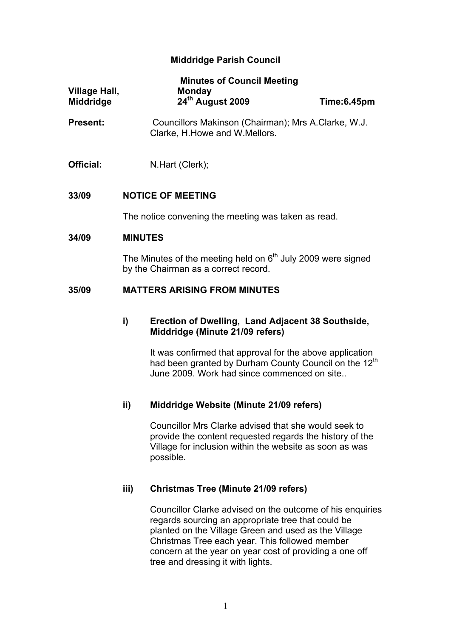## **Middridge Parish Council**

| Village Hall,<br><b>Middridge</b> |                                                                                                        | <b>Minutes of Council Meeting</b><br>Monday<br>24 <sup>th</sup> August 2009                                                   | Time:6.45pm |
|-----------------------------------|--------------------------------------------------------------------------------------------------------|-------------------------------------------------------------------------------------------------------------------------------|-------------|
| <b>Present:</b>                   | Councillors Makinson (Chairman); Mrs A.Clarke, W.J.<br>Clarke, H. Howe and W. Mellors.                 |                                                                                                                               |             |
| Official:                         |                                                                                                        | N.Hart (Clerk);                                                                                                               |             |
| 33/09                             | <b>NOTICE OF MEETING</b>                                                                               |                                                                                                                               |             |
|                                   | The notice convening the meeting was taken as read.                                                    |                                                                                                                               |             |
| 34/09                             | <b>MINUTES</b>                                                                                         |                                                                                                                               |             |
|                                   | The Minutes of the meeting held on $6th$ July 2009 were signed<br>by the Chairman as a correct record. |                                                                                                                               |             |
| 35/09                             | <b>MATTERS ARISING FROM MINUTES</b>                                                                    |                                                                                                                               |             |
|                                   | i)                                                                                                     | Erection of Dwelling, Land Adjacent 38 Southside,<br>Middridge (Minute 21/09 refers)                                          |             |
|                                   |                                                                                                        | It was confirmed that approval for the above application<br>had been granted by Durham County Council on the 12 <sup>th</sup> |             |

## **ii) Middridge Website (Minute 21/09 refers)**

Councillor Mrs Clarke advised that she would seek to provide the content requested regards the history of the Village for inclusion within the website as soon as was possible.

June 2009. Work had since commenced on site..

## **iii) Christmas Tree (Minute 21/09 refers)**

Councillor Clarke advised on the outcome of his enquiries regards sourcing an appropriate tree that could be planted on the Village Green and used as the Village Christmas Tree each year. This followed member concern at the year on year cost of providing a one off tree and dressing it with lights.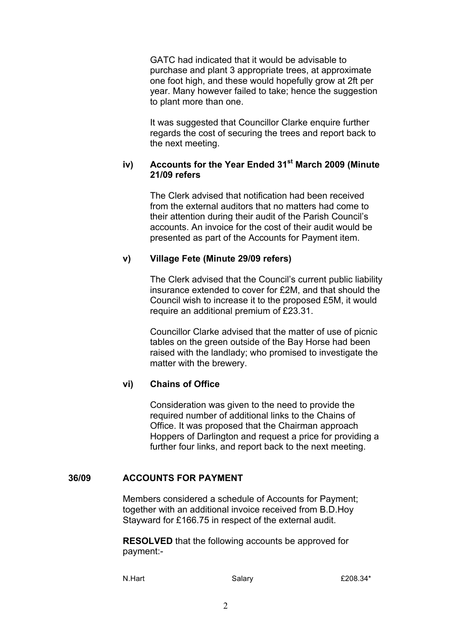GATC had indicated that it would be advisable to purchase and plant 3 appropriate trees, at approximate one foot high, and these would hopefully grow at 2ft per year. Many however failed to take; hence the suggestion to plant more than one.

It was suggested that Councillor Clarke enquire further regards the cost of securing the trees and report back to the next meeting.

#### **iv) Accounts for the Year Ended 31st March 2009 (Minute 21/09 refers**

The Clerk advised that notification had been received from the external auditors that no matters had come to their attention during their audit of the Parish Council's accounts. An invoice for the cost of their audit would be presented as part of the Accounts for Payment item.

## **v) Village Fete (Minute 29/09 refers)**

The Clerk advised that the Council's current public liability insurance extended to cover for £2M, and that should the Council wish to increase it to the proposed £5M, it would require an additional premium of £23.31.

Councillor Clarke advised that the matter of use of picnic tables on the green outside of the Bay Horse had been raised with the landlady; who promised to investigate the matter with the brewery.

# **vi) Chains of Office**

Consideration was given to the need to provide the required number of additional links to the Chains of Office. It was proposed that the Chairman approach Hoppers of Darlington and request a price for providing a further four links, and report back to the next meeting.

## **36/09 ACCOUNTS FOR PAYMENT**

Members considered a schedule of Accounts for Payment; together with an additional invoice received from B.D.Hoy Stayward for £166.75 in respect of the external audit.

**RESOLVED** that the following accounts be approved for payment:-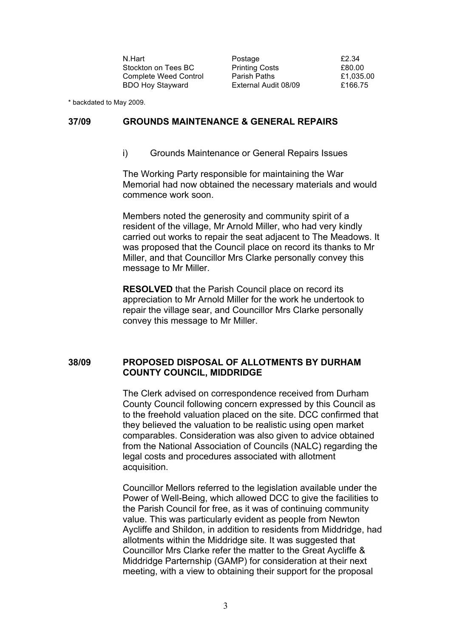N.Hart **Postage 12.34** Stockton on Tees BC Printing Costs 680.00 Complete Weed Control Parish Paths **E1,035.00** BDO Hoy Stayward External Audit 08/09 £166.75

\* backdated to May 2009.

#### **37/09 GROUNDS MAINTENANCE & GENERAL REPAIRS**

i) Grounds Maintenance or General Repairs Issues

The Working Party responsible for maintaining the War Memorial had now obtained the necessary materials and would commence work soon.

Members noted the generosity and community spirit of a resident of the village, Mr Arnold Miller, who had very kindly carried out works to repair the seat adjacent to The Meadows. It was proposed that the Council place on record its thanks to Mr Miller, and that Councillor Mrs Clarke personally convey this message to Mr Miller.

**RESOLVED** that the Parish Council place on record its appreciation to Mr Arnold Miller for the work he undertook to repair the village sear, and Councillor Mrs Clarke personally convey this message to Mr Miller.

## **38/09 PROPOSED DISPOSAL OF ALLOTMENTS BY DURHAM COUNTY COUNCIL, MIDDRIDGE**

The Clerk advised on correspondence received from Durham County Council following concern expressed by this Council as to the freehold valuation placed on the site. DCC confirmed that they believed the valuation to be realistic using open market comparables. Consideration was also given to advice obtained from the National Association of Councils (NALC) regarding the legal costs and procedures associated with allotment acquisition.

Councillor Mellors referred to the legislation available under the Power of Well-Being, which allowed DCC to give the facilities to the Parish Council for free, as it was of continuing community value. This was particularly evident as people from Newton Aycliffe and Shildon, in addition to residents from Middridge, had allotments within the Middridge site. It was suggested that Councillor Mrs Clarke refer the matter to the Great Aycliffe & Middridge Parternship (GAMP) for consideration at their next meeting, with a view to obtaining their support for the proposal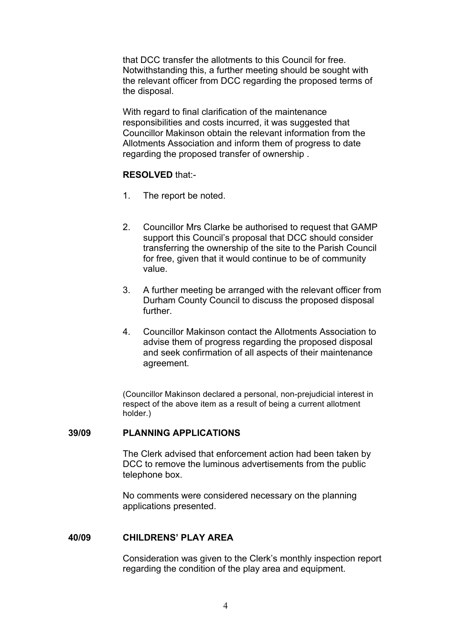that DCC transfer the allotments to this Council for free. Notwithstanding this, a further meeting should be sought with the relevant officer from DCC regarding the proposed terms of the disposal.

With regard to final clarification of the maintenance responsibilities and costs incurred, it was suggested that Councillor Makinson obtain the relevant information from the Allotments Association and inform them of progress to date regarding the proposed transfer of ownership .

#### **RESOLVED** that:-

- 1. The report be noted.
- 2. Councillor Mrs Clarke be authorised to request that GAMP support this Council's proposal that DCC should consider transferring the ownership of the site to the Parish Council for free, given that it would continue to be of community value.
- 3. A further meeting be arranged with the relevant officer from Durham County Council to discuss the proposed disposal further.
- 4. Councillor Makinson contact the Allotments Association to advise them of progress regarding the proposed disposal and seek confirmation of all aspects of their maintenance agreement.

(Councillor Makinson declared a personal, non-prejudicial interest in respect of the above item as a result of being a current allotment holder.)

#### **39/09 PLANNING APPLICATIONS**

The Clerk advised that enforcement action had been taken by DCC to remove the luminous advertisements from the public telephone box.

No comments were considered necessary on the planning applications presented.

#### **40/09 CHILDRENS' PLAY AREA**

Consideration was given to the Clerk's monthly inspection report regarding the condition of the play area and equipment.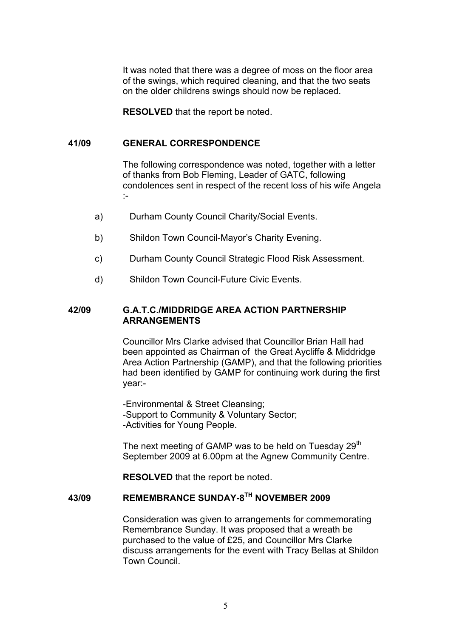It was noted that there was a degree of moss on the floor area of the swings, which required cleaning, and that the two seats on the older childrens swings should now be replaced.

**RESOLVED** that the report be noted.

#### **41/09 GENERAL CORRESPONDENCE**

The following correspondence was noted, together with a letter of thanks from Bob Fleming, Leader of GATC, following condolences sent in respect of the recent loss of his wife Angela :-

- a) Durham County Council Charity/Social Events.
- b) Shildon Town Council-Mayor's Charity Evening.
- c) Durham County Council Strategic Flood Risk Assessment.
- d) Shildon Town Council-Future Civic Events.

## **42/09 G.A.T.C./MIDDRIDGE AREA ACTION PARTNERSHIP ARRANGEMENTS**

Councillor Mrs Clarke advised that Councillor Brian Hall had been appointed as Chairman of the Great Aycliffe & Middridge Area Action Partnership (GAMP), and that the following priorities had been identified by GAMP for continuing work during the first year:-

-Environmental & Street Cleansing; -Support to Community & Voluntary Sector; -Activities for Young People.

The next meeting of GAMP was to be held on Tuesday  $29<sup>th</sup>$ September 2009 at 6.00pm at the Agnew Community Centre.

**RESOLVED** that the report be noted.

# **43/09 REMEMBRANCE SUNDAY-8TH NOVEMBER 2009**

Consideration was given to arrangements for commemorating Remembrance Sunday. It was proposed that a wreath be purchased to the value of £25, and Councillor Mrs Clarke discuss arrangements for the event with Tracy Bellas at Shildon Town Council.